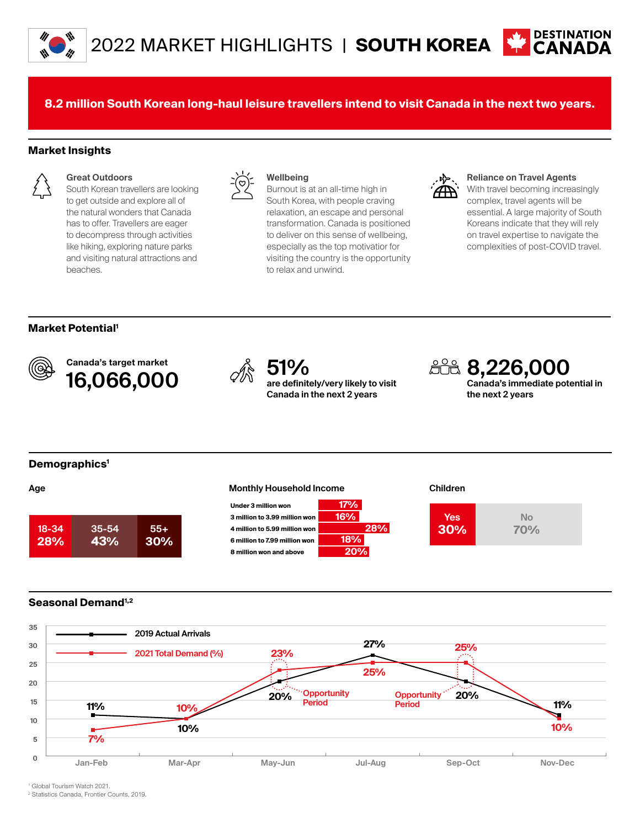

**8.2 million South Korean long-haul leisure travellers intend to visit Canada in the next two years.**

### **Market Insights**



## **Great Outdoors**

South Korean travellers are looking to get outside and explore all of the natural wonders that Canada has to offer. Travellers are eager to decompress through activities like hiking, exploring nature parks and visiting natural attractions and beaches.



### **Wellbeing**

Burnout is at an all-time high in South Korea, with people craving relaxation, an escape and personal transformation. Canada is positioned to deliver on this sense of wellbeing, especially as the top motivatior for visiting the country is the opportunity to relax and unwind.



#### **Reliance on Travel Agents**

With travel becoming increasingly complex, travel agents will be essential. A large majority of South Koreans indicate that they will rely on travel expertise to navigate the complexities of post-COVID travel.

# **Market Potential1**



Canada's target market Canada's target market<br>**16,066,000** <sup>*S*<sup>10</sup>/<sub>are definit</sub></sup>



**are definitely/very likely to visit Canada in the next 2 years**

**28%**

**8,226,000 Canada's immediate potential in the next 2 years**

# **Demographics1**



# **Age the contract of the Monthly Household Income of the Children**







# **Seasonal Demand1,2**



1 Global Tourism Watch 2021.

2 Statistics Canada, Frontier Counts, 2019.